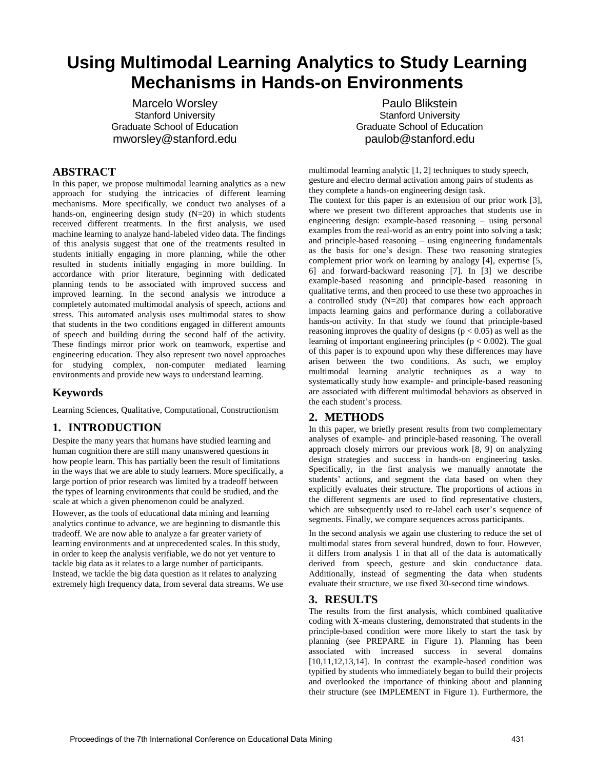# **Using Multimodal Learning Analytics to Study Learning Mechanisms in Hands-on Environments**

Marcelo Worsley Stanford University Graduate School of Education mworsley@stanford.edu

#### **ABSTRACT**

In this paper, we propose multimodal learning analytics as a new approach for studying the intricacies of different learning mechanisms. More specifically, we conduct two analyses of a hands-on, engineering design study (N=20) in which students received different treatments. In the first analysis, we used machine learning to analyze hand-labeled video data. The findings of this analysis suggest that one of the treatments resulted in students initially engaging in more planning, while the other resulted in students initially engaging in more building. In accordance with prior literature, beginning with dedicated planning tends to be associated with improved success and improved learning. In the second analysis we introduce a completely automated multimodal analysis of speech, actions and stress. This automated analysis uses multimodal states to show that students in the two conditions engaged in different amounts of speech and building during the second half of the activity. These findings mirror prior work on teamwork, expertise and engineering education. They also represent two novel approaches for studying complex, non-computer mediated learning environments and provide new ways to understand learning.

## **Keywords**

Learning Sciences, Qualitative, Computational, Constructionism

## **1. INTRODUCTION**

Despite the many years that humans have studied learning and human cognition there are still many unanswered questions in how people learn. This has partially been the result of limitations in the ways that we are able to study learners. More specifically, a large portion of prior research was limited by a tradeoff between the types of learning environments that could be studied, and the scale at which a given phenomenon could be analyzed. However, as the tools of educational data mining and learning analytics continue to advance, we are beginning to dismantle this tradeoff. We are now able to analyze a far greater variety of learning environments and at unprecedented scales. In this study, in order to keep the analysis verifiable, we do not yet venture to tackle big data as it relates to a large number of participants. Instead, we tackle the big data question as it relates to analyzing extremely high frequency data, from several data streams. We use

Paulo Blikstein Stanford University Graduate School of Education paulob@stanford.edu

multimodal learning analytic [1, 2] techniques to study speech, gesture and electro dermal activation among pairs of students as they complete a hands-on engineering design task.

The context for this paper is an extension of our prior work [3], where we present two different approaches that students use in engineering design: example-based reasoning – using personal examples from the real-world as an entry point into solving a task; and principle-based reasoning – using engineering fundamentals as the basis for one's design. These two reasoning strategies complement prior work on learning by analogy [4], expertise [5, 6] and forward-backward reasoning [7]. In [3] we describe example-based reasoning and principle-based reasoning in qualitative terms, and then proceed to use these two approaches in a controlled study (N=20) that compares how each approach impacts learning gains and performance during a collaborative hands-on activity. In that study we found that principle-based reasoning improves the quality of designs  $(p < 0.05)$  as well as the learning of important engineering principles ( $p < 0.002$ ). The goal of this paper is to expound upon why these differences may have arisen between the two conditions. As such, we employ multimodal learning analytic techniques as a way to systematically study how example- and principle-based reasoning are associated with different multimodal behaviors as observed in the each student's process.

## **2. METHODS**

In this paper, we briefly present results from two complementary analyses of example- and principle-based reasoning. The overall approach closely mirrors our previous work [8, 9] on analyzing design strategies and success in hands-on engineering tasks. Specifically, in the first analysis we manually annotate the students' actions, and segment the data based on when they explicitly evaluates their structure. The proportions of actions in the different segments are used to find representative clusters, which are subsequently used to re-label each user's sequence of segments. Finally, we compare sequences across participants.

In the second analysis we again use clustering to reduce the set of multimodal states from several hundred, down to four. However, it differs from analysis 1 in that all of the data is automatically derived from speech, gesture and skin conductance data. Additionally, instead of segmenting the data when students evaluate their structure, we use fixed 30-second time windows.

#### **3. RESULTS**

The results from the first analysis, which combined qualitative coding with X-means clustering, demonstrated that students in the principle-based condition were more likely to start the task by planning (see PREPARE in Figure 1). Planning has been associated with increased success in several domains [10,11,12,13,14]. In contrast the example-based condition was typified by students who immediately began to build their projects and overlooked the importance of thinking about and planning their structure (see IMPLEMENT in Figure 1). Furthermore, the